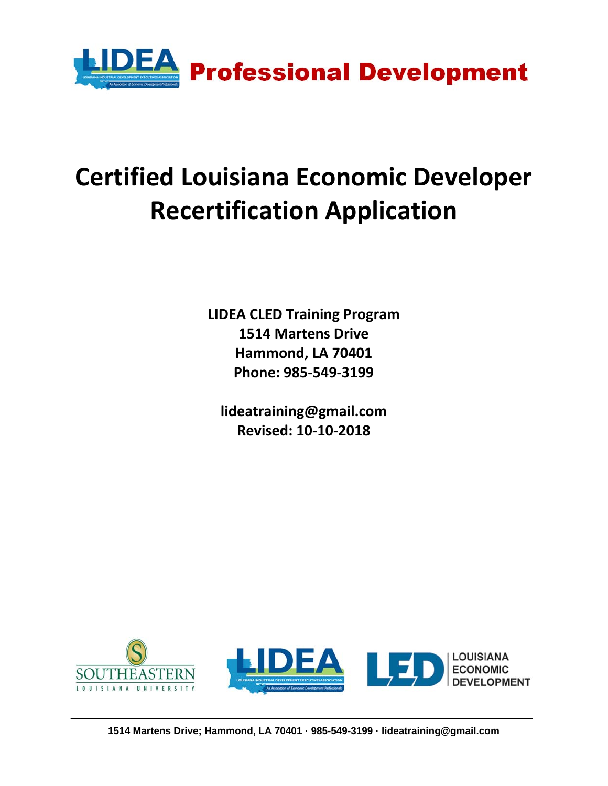

# **Certified Louisiana Economic Developer Recertification Application**

**LIDEA CLED Training Program 1514 Martens Drive Hammond, LA 70401 Phone: 985‐549‐3199**

**lideatraining@gmail.com Revised: 10‐10‐2018**

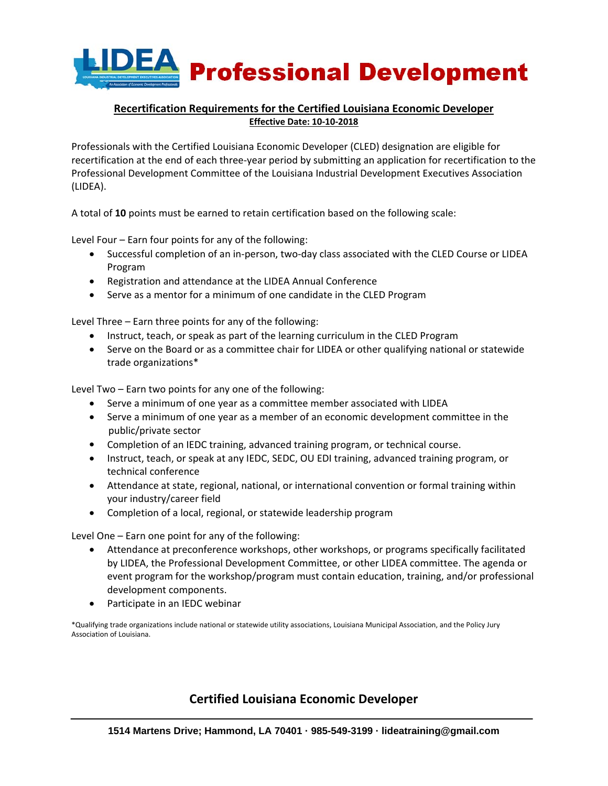

## **Recertification Requirements for the Certified Louisiana Economic Developer Effective Date: 10‐10‐2018**

Professionals with the Certified Louisiana Economic Developer (CLED) designation are eligible for recertification at the end of each three‐year period by submitting an application for recertification to the Professional Development Committee of the Louisiana Industrial Development Executives Association (LIDEA).

A total of **10** points must be earned to retain certification based on the following scale:

Level Four – Earn four points for any of the following:

- Successful completion of an in-person, two-day class associated with the CLED Course or LIDEA Program
- Registration and attendance at the LIDEA Annual Conference
- Serve as a mentor for a minimum of one candidate in the CLED Program

Level Three – Earn three points for any of the following:

- Instruct, teach, or speak as part of the learning curriculum in the CLED Program
- Serve on the Board or as a committee chair for LIDEA or other qualifying national or statewide trade organizations\*

Level Two – Earn two points for any one of the following:

- Serve a minimum of one year as a committee member associated with LIDEA
- Serve a minimum of one year as a member of an economic development committee in the public/private sector
- Completion of an IEDC training, advanced training program, or technical course.
- Instruct, teach, or speak at any IEDC, SEDC, OU EDI training, advanced training program, or technical conference
- Attendance at state, regional, national, or international convention or formal training within your industry/career field
- Completion of a local, regional, or statewide leadership program

Level One – Earn one point for any of the following:

- Attendance at preconference workshops, other workshops, or programs specifically facilitated by LIDEA, the Professional Development Committee, or other LIDEA committee. The agenda or event program for the workshop/program must contain education, training, and/or professional development components.
- Participate in an IEDC webinar

\*Qualifying trade organizations include national or statewide utility associations, Louisiana Municipal Association, and the Policy Jury Association of Louisiana.

# **Certified Louisiana Economic Developer**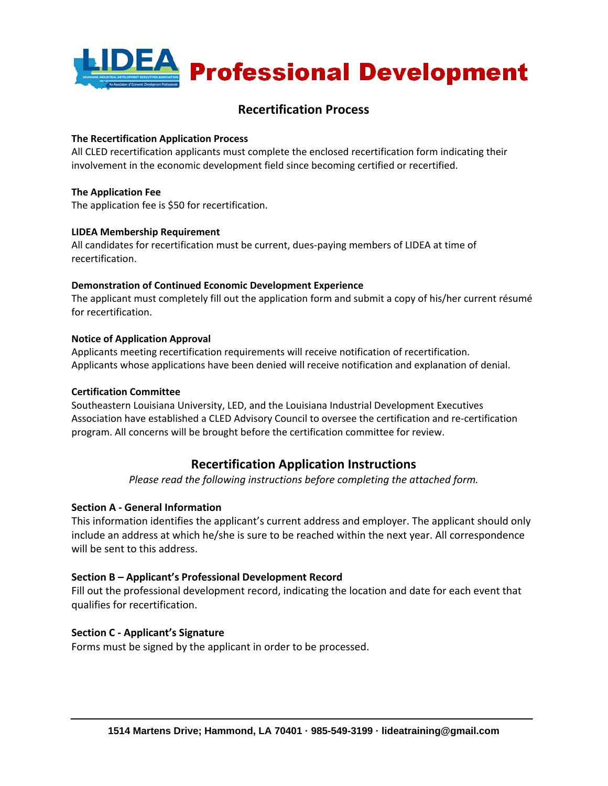

# **Recertification Process**

#### **The Recertification Application Process**

All CLED recertification applicants must complete the enclosed recertification form indicating their involvement in the economic development field since becoming certified or recertified.

#### **The Application Fee**

The application fee is \$50 for recertification.

#### **LIDEA Membership Requirement**

All candidates for recertification must be current, dues‐paying members of LIDEA at time of recertification.

#### **Demonstration of Continued Economic Development Experience**

The applicant must completely fill out the application form and submit a copy of his/her current résumé for recertification.

#### **Notice of Application Approval**

Applicants meeting recertification requirements will receive notification of recertification. Applicants whose applications have been denied will receive notification and explanation of denial.

#### **Certification Committee**

Southeastern Louisiana University, LED, and the Louisiana Industrial Development Executives Association have established a CLED Advisory Council to oversee the certification and re‐certification program. All concerns will be brought before the certification committee for review.

# **Recertification Application Instructions**

*Please read the following instructions before completing the attached form.*

## **Section A ‐ General Information**

This information identifies the applicant's current address and employer. The applicant should only include an address at which he/she is sure to be reached within the next year. All correspondence will be sent to this address.

## **Section B – Applicant's Professional Development Record**

Fill out the professional development record, indicating the location and date for each event that qualifies for recertification.

## **Section C ‐ Applicant's Signature**

Forms must be signed by the applicant in order to be processed.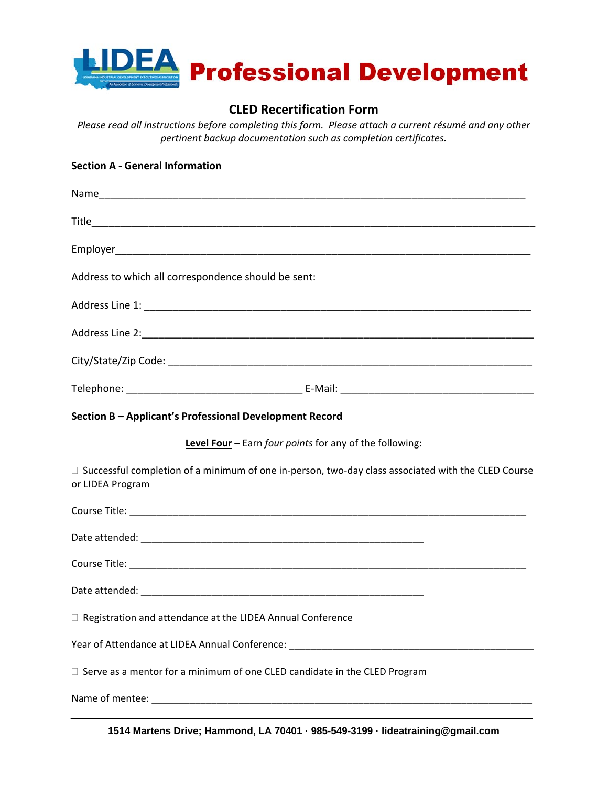

# **CLED Recertification Form**

*Please read all instructions before completing this form. Please attach a current résumé and any other pertinent backup documentation such as completion certificates.*

#### **Section A ‐ General Information**

| Address to which all correspondence should be sent:                                                                           |  |
|-------------------------------------------------------------------------------------------------------------------------------|--|
|                                                                                                                               |  |
|                                                                                                                               |  |
|                                                                                                                               |  |
|                                                                                                                               |  |
| Section B - Applicant's Professional Development Record                                                                       |  |
| Level Four - Earn four points for any of the following:                                                                       |  |
| $\Box$ Successful completion of a minimum of one in-person, two-day class associated with the CLED Course<br>or LIDEA Program |  |
|                                                                                                                               |  |
|                                                                                                                               |  |
|                                                                                                                               |  |
|                                                                                                                               |  |
| □ Registration and attendance at the LIDEA Annual Conference                                                                  |  |
| Year of Attendance at LIDEA Annual Conference: __________________________________                                             |  |
| $\Box$ Serve as a mentor for a minimum of one CLED candidate in the CLED Program                                              |  |
|                                                                                                                               |  |

**1514 Martens Drive; Hammond, LA 70401 · 985-549-3199 · lideatraining@gmail.com**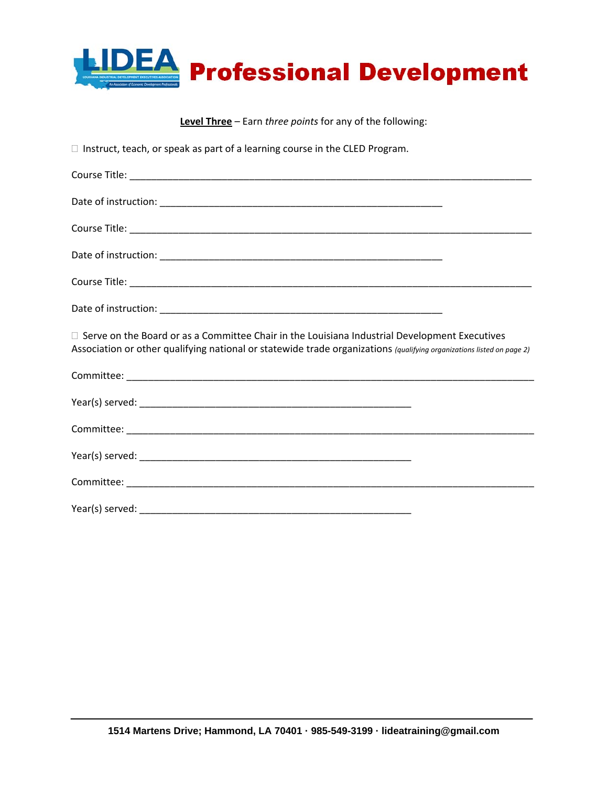

**Level Three** – Earn *three points* for any of the following:

 $\Box$  Instruct, teach, or speak as part of a learning course in the CLED Program.

| $\Box$ Serve on the Board or as a Committee Chair in the Louisiana Industrial Development Executives<br>Association or other qualifying national or statewide trade organizations (qualifying organizations listed on page 2) |
|-------------------------------------------------------------------------------------------------------------------------------------------------------------------------------------------------------------------------------|
|                                                                                                                                                                                                                               |
|                                                                                                                                                                                                                               |
|                                                                                                                                                                                                                               |
|                                                                                                                                                                                                                               |
|                                                                                                                                                                                                                               |
|                                                                                                                                                                                                                               |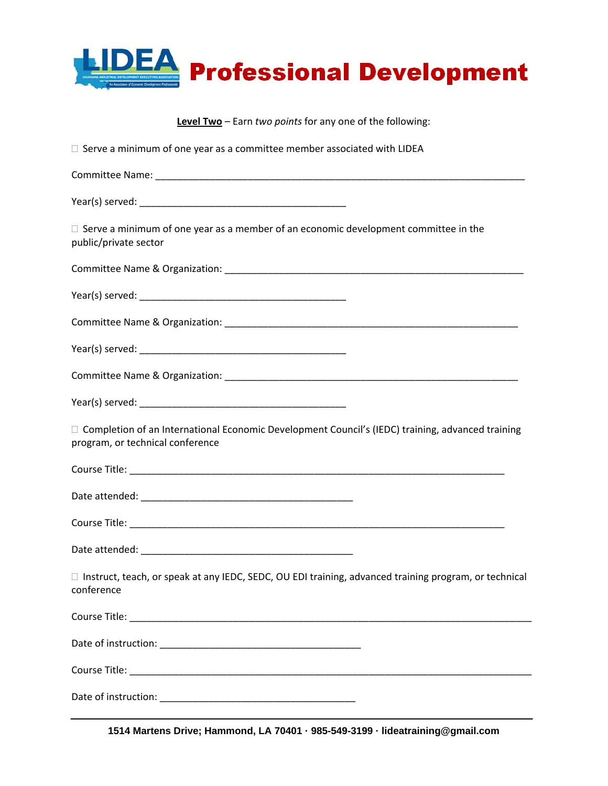

| Level Two - Earn two points for any one of the following:                                                                              |  |
|----------------------------------------------------------------------------------------------------------------------------------------|--|
| $\Box$ Serve a minimum of one year as a committee member associated with LIDEA                                                         |  |
|                                                                                                                                        |  |
|                                                                                                                                        |  |
| $\Box$ Serve a minimum of one year as a member of an economic development committee in the<br>public/private sector                    |  |
|                                                                                                                                        |  |
|                                                                                                                                        |  |
|                                                                                                                                        |  |
|                                                                                                                                        |  |
|                                                                                                                                        |  |
|                                                                                                                                        |  |
| □ Completion of an International Economic Development Council's (IEDC) training, advanced training<br>program, or technical conference |  |
|                                                                                                                                        |  |
|                                                                                                                                        |  |
|                                                                                                                                        |  |
|                                                                                                                                        |  |
| $\Box$ Instruct, teach, or speak at any IEDC, SEDC, OU EDI training, advanced training program, or technical<br>conference             |  |
|                                                                                                                                        |  |
|                                                                                                                                        |  |
|                                                                                                                                        |  |
|                                                                                                                                        |  |

**1514 Martens Drive; Hammond, LA 70401 · 985-549-3199 · lideatraining@gmail.com**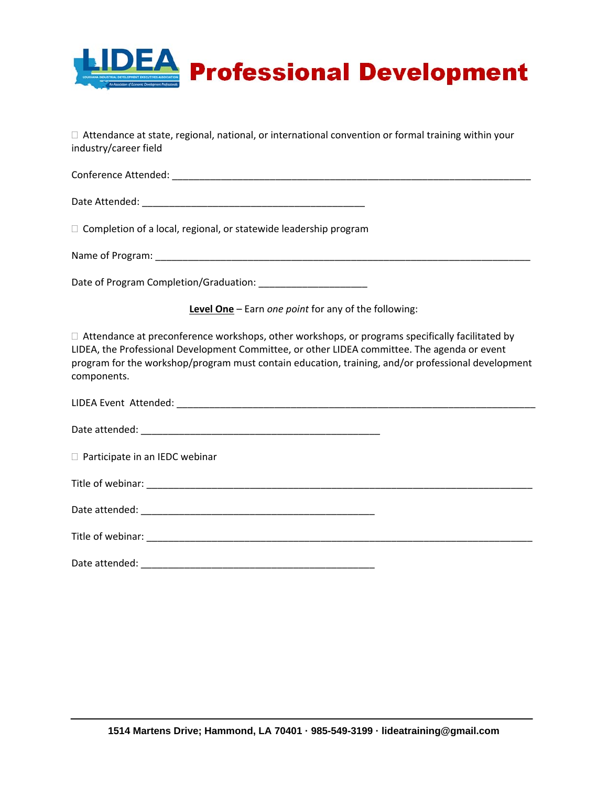

 $\Box$  Attendance at state, regional, national, or international convention or formal training within your industry/career field

Conference Attended: \_\_\_\_\_\_\_\_\_\_\_\_\_\_\_\_\_\_\_\_\_\_\_\_\_\_\_\_\_\_\_\_\_\_\_\_\_\_\_\_\_\_\_\_\_\_\_\_\_\_\_\_\_\_\_\_\_\_\_\_\_\_\_\_\_\_

Date Attended: \_\_\_\_\_\_\_\_\_\_\_\_\_\_\_\_\_\_\_\_\_\_\_\_\_\_\_\_\_\_\_\_\_\_\_\_\_\_\_\_\_

 $\Box$  Completion of a local, regional, or statewide leadership program

Name of Program: **We are all that the set of Program:**  $\blacksquare$ 

Date of Program Completion/Graduation: \_\_\_\_\_\_\_\_\_\_\_\_\_\_\_\_\_\_\_\_

**Level One** – Earn *one point* for any of the following:

 $\Box$  Attendance at preconference workshops, other workshops, or programs specifically facilitated by LIDEA, the Professional Development Committee, or other LIDEA committee. The agenda or event program for the workshop/program must contain education, training, and/or professional development components.

| □ Participate in an IEDC webinar |  |
|----------------------------------|--|
|                                  |  |
|                                  |  |
|                                  |  |
| Date attended:                   |  |